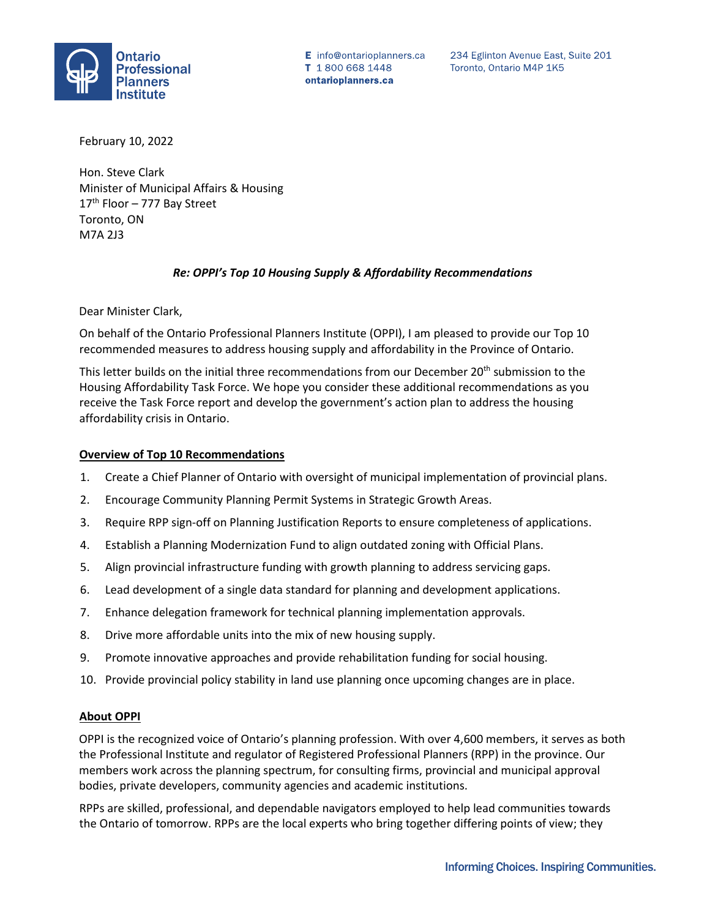

E info@ontarioplanners.ca T 1800 668 1448 ontarioplanners.ca

234 Eglinton Avenue East, Suite 201 Toronto, Ontario M4P 1K5

February 10, 2022

Hon. Steve Clark Minister of Municipal Affairs & Housing 17<sup>th</sup> Floor - 777 Bay Street Toronto, ON M7A 2J3

### *Re: OPPI's Top 10 Housing Supply & Affordability Recommendations*

Dear Minister Clark,

On behalf of the Ontario Professional Planners Institute (OPPI), I am pleased to provide our Top 10 recommended measures to address housing supply and affordability in the Province of Ontario.

This letter builds on the initial three recommendations from our December 20<sup>th</sup> submission to the Housing Affordability Task Force. We hope you consider these additional recommendations as you receive the Task Force report and develop the government's action plan to address the housing affordability crisis in Ontario.

#### **Overview of Top 10 Recommendations**

- 1. Create a Chief Planner of Ontario with oversight of municipal implementation of provincial plans.
- 2. Encourage Community Planning Permit Systems in Strategic Growth Areas.
- 3. Require RPP sign-off on Planning Justification Reports to ensure completeness of applications.
- 4. Establish a Planning Modernization Fund to align outdated zoning with Official Plans.
- 5. Align provincial infrastructure funding with growth planning to address servicing gaps.
- 6. Lead development of a single data standard for planning and development applications.
- 7. Enhance delegation framework for technical planning implementation approvals.
- 8. Drive more affordable units into the mix of new housing supply.
- 9. Promote innovative approaches and provide rehabilitation funding for social housing.
- 10. Provide provincial policy stability in land use planning once upcoming changes are in place.

#### **About OPPI**

OPPI is the recognized voice of Ontario's planning profession. With over 4,600 members, it serves as both the Professional Institute and regulator of Registered Professional Planners (RPP) in the province. Our members work across the planning spectrum, for consulting firms, provincial and municipal approval bodies, private developers, community agencies and academic institutions.

RPPs are skilled, professional, and dependable navigators employed to help lead communities towards the Ontario of tomorrow. RPPs are the local experts who bring together differing points of view; they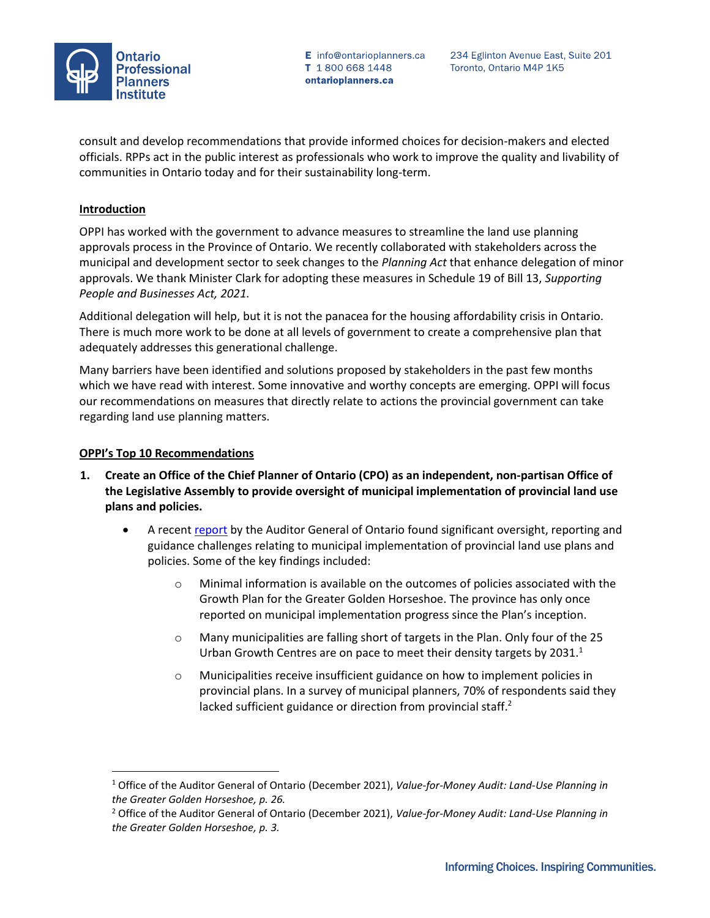

E info@ontarioplanners.ca T 1800 668 1448 ontarioplanners.ca

consult and develop recommendations that provide informed choices for decision-makers and elected officials. RPPs act in the public interest as professionals who work to improve the quality and livability of communities in Ontario today and for their sustainability long-term.

## **Introduction**

OPPI has worked with the government to advance measures to streamline the land use planning approvals process in the Province of Ontario. We recently collaborated with stakeholders across the municipal and development sector to seek changes to the *Planning Act* that enhance delegation of minor approvals. We thank Minister Clark for adopting these measures in Schedule 19 of Bill 13, *Supporting People and Businesses Act, 2021.*

Additional delegation will help, but it is not the panacea for the housing affordability crisis in Ontario. There is much more work to be done at all levels of government to create a comprehensive plan that adequately addresses this generational challenge.

Many barriers have been identified and solutions proposed by stakeholders in the past few months which we have read with interest. Some innovative and worthy concepts are emerging. OPPI will focus our recommendations on measures that directly relate to actions the provincial government can take regarding land use planning matters.

## **OPPI's Top 10 Recommendations**

- **1. Create an Office of the Chief Planner of Ontario (CPO) as an independent, non-partisan Office of the Legislative Assembly to provide oversight of municipal implementation of provincial land use plans and policies.** 
	- A recen[t report](https://www.auditor.on.ca/en/content/annualreports/arreports/en21/AR_LandUse_en21.pdf) by the Auditor General of Ontario found significant oversight, reporting and guidance challenges relating to municipal implementation of provincial land use plans and policies. Some of the key findings included:
		- o Minimal information is available on the outcomes of policies associated with the Growth Plan for the Greater Golden Horseshoe. The province has only once reported on municipal implementation progress since the Plan's inception.
		- o Many municipalities are falling short of targets in the Plan. Only four of the 25 Urban Growth Centres are on pace to meet their density targets by  $2031.<sup>1</sup>$
		- o Municipalities receive insufficient guidance on how to implement policies in provincial plans. In a survey of municipal planners, 70% of respondents said they lacked sufficient guidance or direction from provincial staff.<sup>2</sup>

<sup>1</sup> Office of the Auditor General of Ontario (December 2021), *Value-for-Money Audit: Land-Use Planning in the Greater Golden Horseshoe, p. 26.* 

<sup>2</sup> Office of the Auditor General of Ontario (December 2021), *Value-for-Money Audit: Land-Use Planning in the Greater Golden Horseshoe, p. 3.*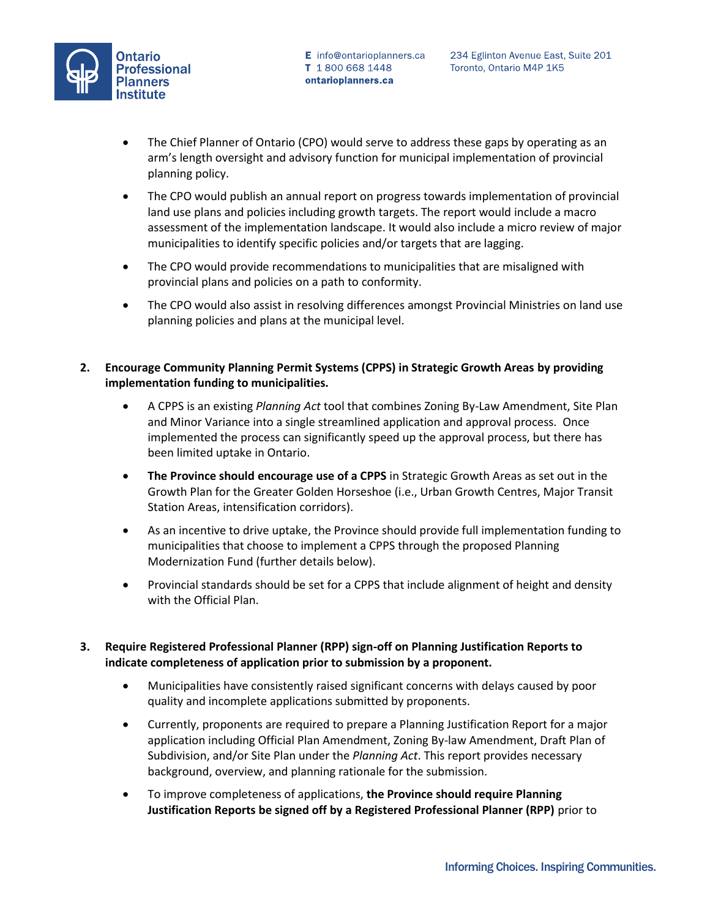

- The Chief Planner of Ontario (CPO) would serve to address these gaps by operating as an arm's length oversight and advisory function for municipal implementation of provincial planning policy.
- The CPO would publish an annual report on progress towards implementation of provincial land use plans and policies including growth targets. The report would include a macro assessment of the implementation landscape. It would also include a micro review of major municipalities to identify specific policies and/or targets that are lagging.
- The CPO would provide recommendations to municipalities that are misaligned with provincial plans and policies on a path to conformity.
- The CPO would also assist in resolving differences amongst Provincial Ministries on land use planning policies and plans at the municipal level.
- **2. Encourage Community Planning Permit Systems (CPPS) in Strategic Growth Areas by providing implementation funding to municipalities.**
	- A CPPS is an existing *Planning Act* tool that combines Zoning By-Law Amendment, Site Plan and Minor Variance into a single streamlined application and approval process. Once implemented the process can significantly speed up the approval process, but there has been limited uptake in Ontario.
	- **The Province should encourage use of a CPPS** in Strategic Growth Areas as set out in the Growth Plan for the Greater Golden Horseshoe (i.e., Urban Growth Centres, Major Transit Station Areas, intensification corridors).
	- As an incentive to drive uptake, the Province should provide full implementation funding to municipalities that choose to implement a CPPS through the proposed Planning Modernization Fund (further details below).
	- Provincial standards should be set for a CPPS that include alignment of height and density with the Official Plan.
- **3. Require Registered Professional Planner (RPP) sign-off on Planning Justification Reports to indicate completeness of application prior to submission by a proponent.**
	- Municipalities have consistently raised significant concerns with delays caused by poor quality and incomplete applications submitted by proponents.
	- Currently, proponents are required to prepare a Planning Justification Report for a major application including Official Plan Amendment, Zoning By-law Amendment, Draft Plan of Subdivision, and/or Site Plan under the *Planning Act*. This report provides necessary background, overview, and planning rationale for the submission.
	- To improve completeness of applications, **the Province should require Planning Justification Reports be signed off by a Registered Professional Planner (RPP)** prior to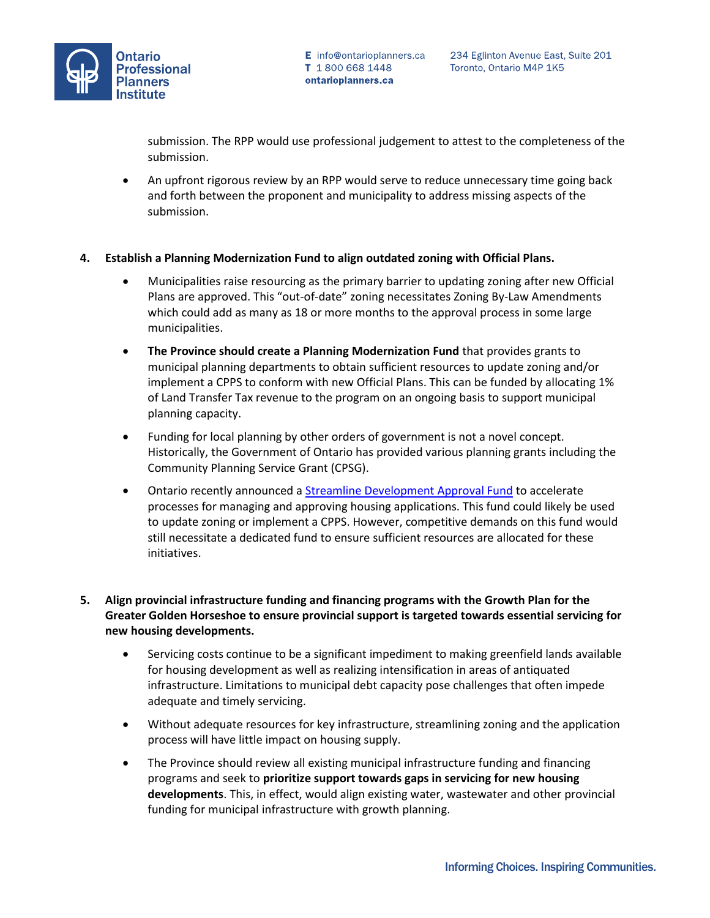

submission. The RPP would use professional judgement to attest to the completeness of the submission.

• An upfront rigorous review by an RPP would serve to reduce unnecessary time going back and forth between the proponent and municipality to address missing aspects of the submission.

## **4. Establish a Planning Modernization Fund to align outdated zoning with Official Plans.**

- Municipalities raise resourcing as the primary barrier to updating zoning after new Official Plans are approved. This "out-of-date" zoning necessitates Zoning By-Law Amendments which could add as many as 18 or more months to the approval process in some large municipalities.
- **The Province should create a Planning Modernization Fund** that provides grants to municipal planning departments to obtain sufficient resources to update zoning and/or implement a CPPS to conform with new Official Plans. This can be funded by allocating 1% of Land Transfer Tax revenue to the program on an ongoing basis to support municipal planning capacity.
- Funding for local planning by other orders of government is not a novel concept. Historically, the Government of Ontario has provided various planning grants including the Community Planning Service Grant (CPSG).
- Ontario recently announced a **Streamline Development Approval Fund** to accelerate processes for managing and approving housing applications. This fund could likely be used to update zoning or implement a CPPS. However, competitive demands on this fund would still necessitate a dedicated fund to ensure sufficient resources are allocated for these initiatives.

# **5. Align provincial infrastructure funding and financing programs with the Growth Plan for the Greater Golden Horseshoe to ensure provincial support is targeted towards essential servicing for new housing developments.**

- Servicing costs continue to be a significant impediment to making greenfield lands available for housing development as well as realizing intensification in areas of antiquated infrastructure. Limitations to municipal debt capacity pose challenges that often impede adequate and timely servicing.
- Without adequate resources for key infrastructure, streamlining zoning and the application process will have little impact on housing supply.
- The Province should review all existing municipal infrastructure funding and financing programs and seek to **prioritize support towards gaps in servicing for new housing developments**. This, in effect, would align existing water, wastewater and other provincial funding for municipal infrastructure with growth planning.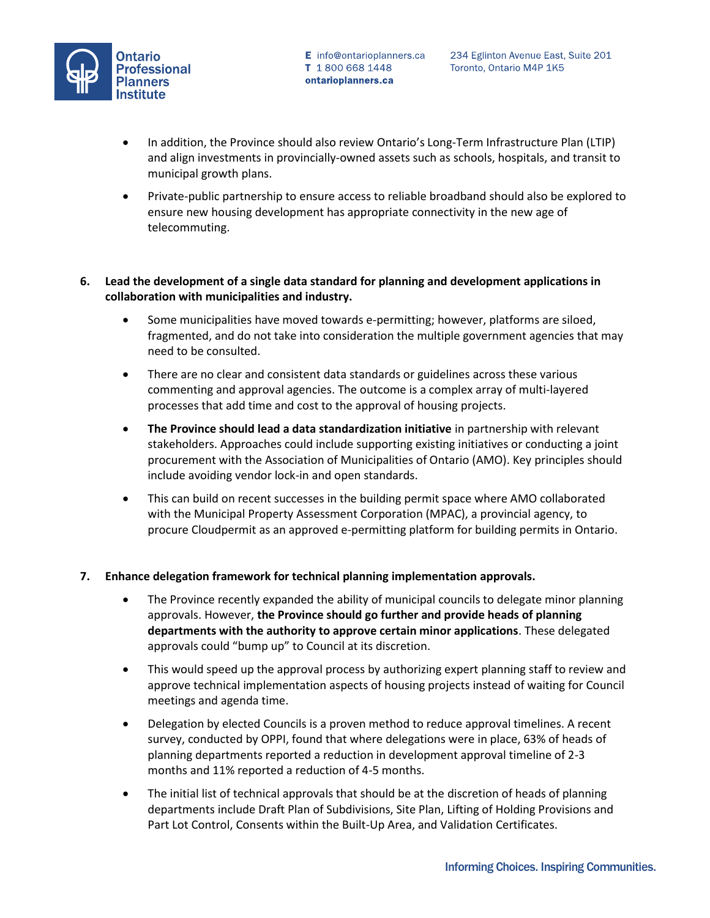

- In addition, the Province should also review Ontario's Long-Term Infrastructure Plan (LTIP) and align investments in provincially-owned assets such as schools, hospitals, and transit to municipal growth plans.
- Private-public partnership to ensure access to reliable broadband should also be explored to ensure new housing development has appropriate connectivity in the new age of telecommuting.

## **6. Lead the development of a single data standard for planning and development applications in collaboration with municipalities and industry.**

- Some municipalities have moved towards e-permitting; however, platforms are siloed, fragmented, and do not take into consideration the multiple government agencies that may need to be consulted.
- There are no clear and consistent data standards or guidelines across these various commenting and approval agencies. The outcome is a complex array of multi-layered processes that add time and cost to the approval of housing projects.
- **The Province should lead a data standardization initiative** in partnership with relevant stakeholders. Approaches could include supporting existing initiatives or conducting a joint procurement with the Association of Municipalities of Ontario (AMO). Key principles should include avoiding vendor lock-in and open standards.
- This can build on recent successes in the building permit space where AMO collaborated with the Municipal Property Assessment Corporation (MPAC), a provincial agency, to procure Cloudpermit as an approved e-permitting platform for building permits in Ontario.

### **7. Enhance delegation framework for technical planning implementation approvals.**

- The Province recently expanded the ability of municipal councils to delegate minor planning approvals. However, **the Province should go further and provide heads of planning departments with the authority to approve certain minor applications**. These delegated approvals could "bump up" to Council at its discretion.
- This would speed up the approval process by authorizing expert planning staff to review and approve technical implementation aspects of housing projects instead of waiting for Council meetings and agenda time.
- Delegation by elected Councils is a proven method to reduce approval timelines. A recent survey, conducted by OPPI, found that where delegations were in place, 63% of heads of planning departments reported a reduction in development approval timeline of 2-3 months and 11% reported a reduction of 4-5 months.
- The initial list of technical approvals that should be at the discretion of heads of planning departments include Draft Plan of Subdivisions, Site Plan, Lifting of Holding Provisions and Part Lot Control, Consents within the Built-Up Area, and Validation Certificates.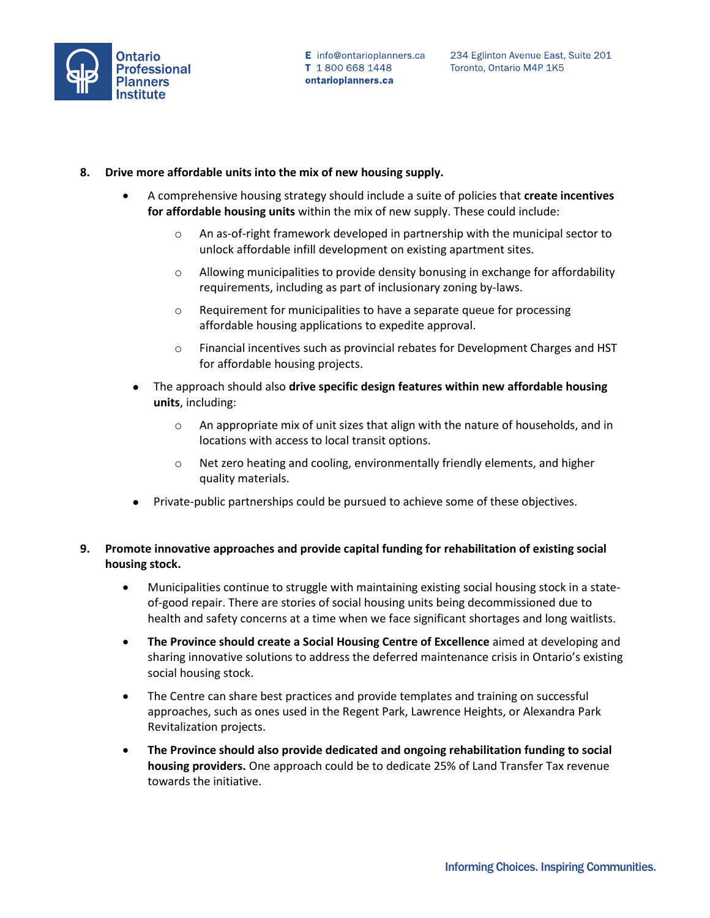

### **8. Drive more affordable units into the mix of new housing supply.**

- A comprehensive housing strategy should include a suite of policies that **create incentives for affordable housing units** within the mix of new supply. These could include:
	- o An as-of-right framework developed in partnership with the municipal sector to unlock affordable infill development on existing apartment sites.
	- o Allowing municipalities to provide density bonusing in exchange for affordability requirements, including as part of inclusionary zoning by-laws.
	- o Requirement for municipalities to have a separate queue for processing affordable housing applications to expedite approval.
	- o Financial incentives such as provincial rebates for Development Charges and HST for affordable housing projects.
	- The approach should also **drive specific design features within new affordable housing units**, including:
		- o An appropriate mix of unit sizes that align with the nature of households, and in locations with access to local transit options.
		- o Net zero heating and cooling, environmentally friendly elements, and higher quality materials.
	- Private-public partnerships could be pursued to achieve some of these objectives.

## **9. Promote innovative approaches and provide capital funding for rehabilitation of existing social housing stock.**

- Municipalities continue to struggle with maintaining existing social housing stock in a stateof-good repair. There are stories of social housing units being decommissioned due to health and safety concerns at a time when we face significant shortages and long waitlists.
- **The Province should create a Social Housing Centre of Excellence** aimed at developing and sharing innovative solutions to address the deferred maintenance crisis in Ontario's existing social housing stock.
- The Centre can share best practices and provide templates and training on successful approaches, such as ones used in the Regent Park, Lawrence Heights, or Alexandra Park Revitalization projects.
- **The Province should also provide dedicated and ongoing rehabilitation funding to social housing providers.** One approach could be to dedicate 25% of Land Transfer Tax revenue towards the initiative.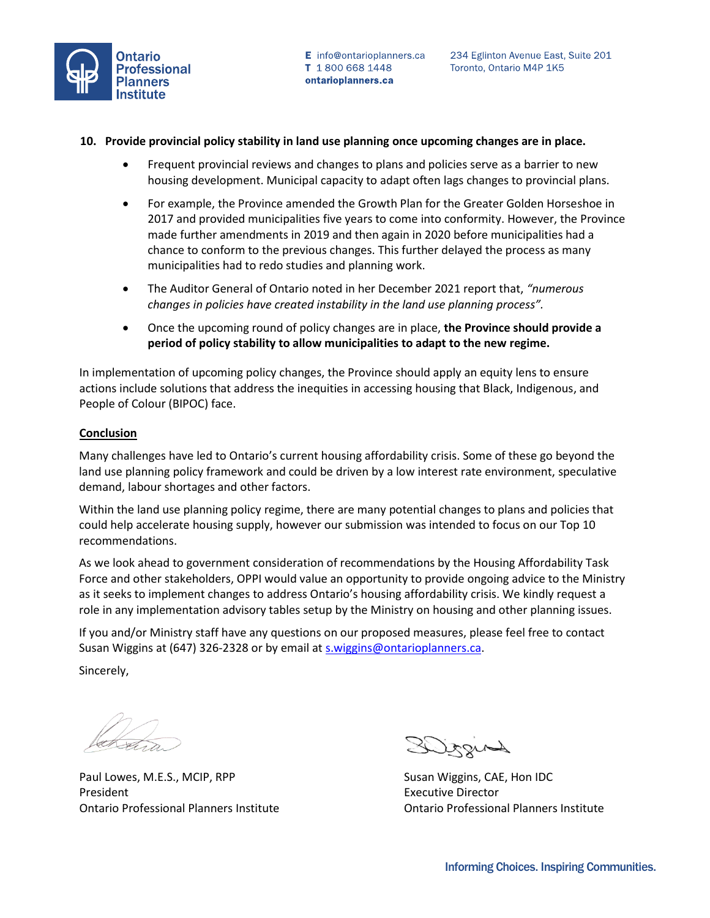

#### **10. Provide provincial policy stability in land use planning once upcoming changes are in place.**

- Frequent provincial reviews and changes to plans and policies serve as a barrier to new housing development. Municipal capacity to adapt often lags changes to provincial plans.
- For example, the Province amended the Growth Plan for the Greater Golden Horseshoe in 2017 and provided municipalities five years to come into conformity. However, the Province made further amendments in 2019 and then again in 2020 before municipalities had a chance to conform to the previous changes. This further delayed the process as many municipalities had to redo studies and planning work.
- The Auditor General of Ontario noted in her December 2021 report that, *"numerous changes in policies have created instability in the land use planning process".*
- Once the upcoming round of policy changes are in place, **the Province should provide a period of policy stability to allow municipalities to adapt to the new regime.**

In implementation of upcoming policy changes, the Province should apply an equity lens to ensure actions include solutions that address the inequities in accessing housing that Black, Indigenous, and People of Colour (BIPOC) face.

#### **Conclusion**

Many challenges have led to Ontario's current housing affordability crisis. Some of these go beyond the land use planning policy framework and could be driven by a low interest rate environment, speculative demand, labour shortages and other factors.

Within the land use planning policy regime, there are many potential changes to plans and policies that could help accelerate housing supply, however our submission was intended to focus on our Top 10 recommendations.

As we look ahead to government consideration of recommendations by the Housing Affordability Task Force and other stakeholders, OPPI would value an opportunity to provide ongoing advice to the Ministry as it seeks to implement changes to address Ontario's housing affordability crisis. We kindly request a role in any implementation advisory tables setup by the Ministry on housing and other planning issues.

If you and/or Ministry staff have any questions on our proposed measures, please feel free to contact Susan Wiggins at (647) 326-2328 or by email a[t s.wiggins@ontarioplanners.ca.](mailto:s.wiggins@ontarioplanners.ca)

Sincerely,

Paul Lowes, M.E.S., MCIP, RPP THE SUSAN Wiggins, CAE, Hon IDC President **Executive Director Executive Director** 

Ontario Professional Planners Institute Ontario Professional Planners Institute